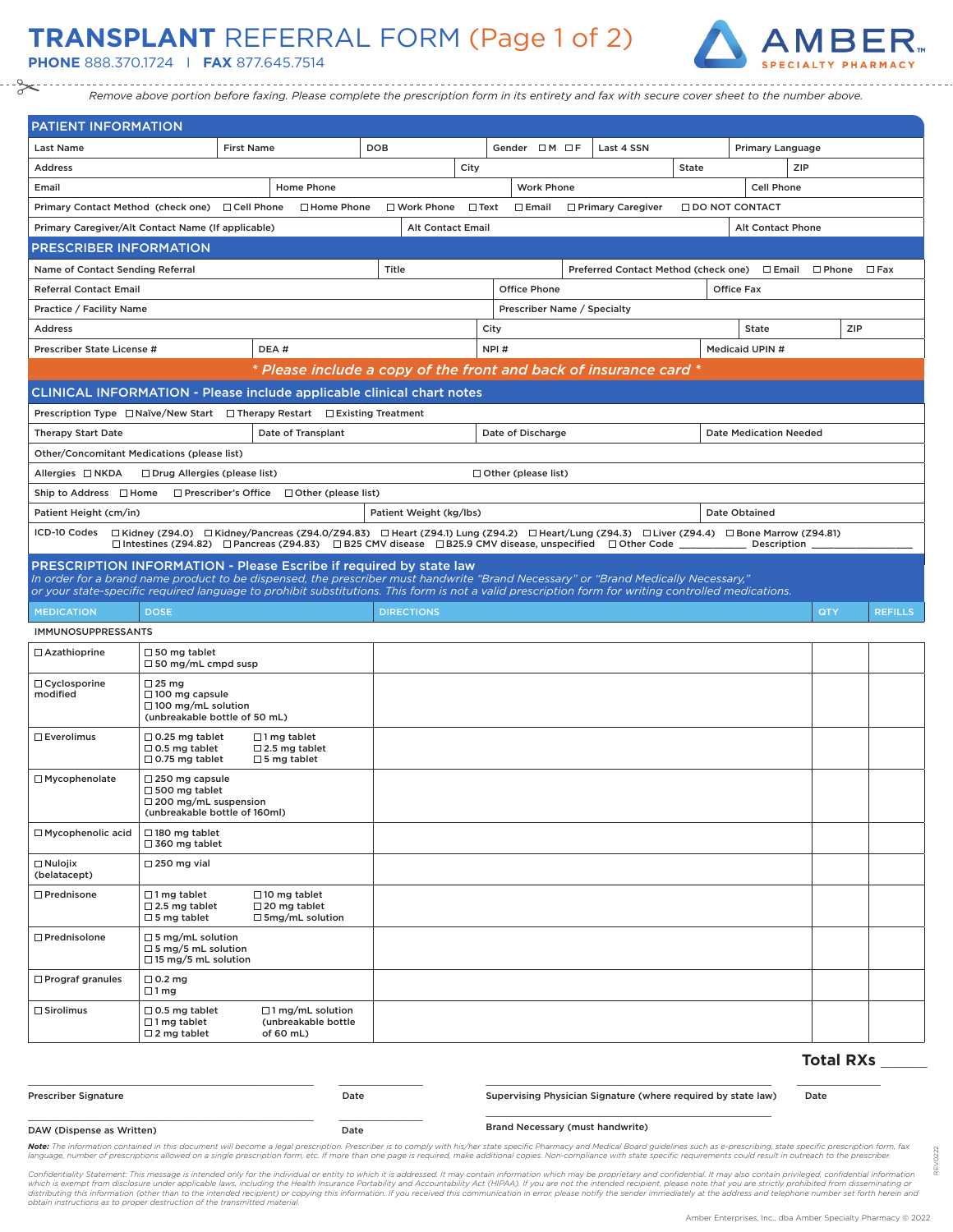## **TRANSPLANT** REFERRAL FORM (Page 1 of 2)

**PHONE** 888.370.1724 I **FAX** 877.645.7514



*Remove above portion before faxing. Please complete the prescription form in its entirety and fax with secure cover sheet to the number above.*

| <b>PATIENT INFORMATION</b>                                                                                                                                                                                                                                                               |                                                                                                                  |                                                                  |                                                       |                          |             |                             |  |                                                                                                               |       |                               |                  |                |
|------------------------------------------------------------------------------------------------------------------------------------------------------------------------------------------------------------------------------------------------------------------------------------------|------------------------------------------------------------------------------------------------------------------|------------------------------------------------------------------|-------------------------------------------------------|--------------------------|-------------|-----------------------------|--|---------------------------------------------------------------------------------------------------------------|-------|-------------------------------|------------------|----------------|
| <b>Last Name</b>                                                                                                                                                                                                                                                                         |                                                                                                                  | <b>First Name</b>                                                |                                                       | DOB                      |             | Gender $\Box M \Box F$      |  | Last 4 SSN                                                                                                    |       | Primary Language              |                  |                |
| <b>Address</b>                                                                                                                                                                                                                                                                           |                                                                                                                  |                                                                  |                                                       |                          | City        |                             |  |                                                                                                               | State |                               | ZIP              |                |
| Email                                                                                                                                                                                                                                                                                    |                                                                                                                  |                                                                  | Home Phone                                            |                          |             | <b>Work Phone</b>           |  |                                                                                                               |       | <b>Cell Phone</b>             |                  |                |
| Primary Contact Method (check one) □ Cell Phone                                                                                                                                                                                                                                          |                                                                                                                  |                                                                  | □ Home Phone                                          | □ Work Phone             | $\Box$ Text | $\square$ Email             |  | □ Primary Caregiver                                                                                           |       | <b>ODO NOT CONTACT</b>        |                  |                |
| Primary Caregiver/Alt Contact Name (If applicable)                                                                                                                                                                                                                                       |                                                                                                                  |                                                                  |                                                       | <b>Alt Contact Email</b> |             |                             |  |                                                                                                               |       | Alt Contact Phone             |                  |                |
| <b>PRESCRIBER INFORMATION</b>                                                                                                                                                                                                                                                            |                                                                                                                  |                                                                  |                                                       |                          |             |                             |  |                                                                                                               |       |                               |                  |                |
| Name of Contact Sending Referral                                                                                                                                                                                                                                                         |                                                                                                                  |                                                                  |                                                       | Title                    |             |                             |  | Preferred Contact Method (check one) □ Email □ Phone                                                          |       |                               |                  | $\square$ Fax  |
| <b>Referral Contact Email</b>                                                                                                                                                                                                                                                            |                                                                                                                  |                                                                  |                                                       |                          |             | <b>Office Phone</b>         |  |                                                                                                               |       | <b>Office Fax</b>             |                  |                |
| Practice / Facility Name                                                                                                                                                                                                                                                                 |                                                                                                                  |                                                                  |                                                       |                          |             | Prescriber Name / Specialty |  |                                                                                                               |       |                               |                  |                |
| <b>Address</b>                                                                                                                                                                                                                                                                           |                                                                                                                  |                                                                  |                                                       |                          |             | City                        |  |                                                                                                               |       | <b>State</b>                  |                  | ZIP            |
| Prescriber State License #                                                                                                                                                                                                                                                               |                                                                                                                  | DEA#                                                             |                                                       |                          |             | NPI#                        |  |                                                                                                               |       | Medicaid UPIN #               |                  |                |
|                                                                                                                                                                                                                                                                                          |                                                                                                                  |                                                                  |                                                       |                          |             |                             |  | * Please include a copy of the front and back of insurance card *                                             |       |                               |                  |                |
| <b>CLINICAL INFORMATION - Please include applicable clinical chart notes</b>                                                                                                                                                                                                             |                                                                                                                  |                                                                  |                                                       |                          |             |                             |  |                                                                                                               |       |                               |                  |                |
| Prescription Type $\Box$ Naïve/New Start $\Box$ Therapy Restart $\Box$ Existing Treatment                                                                                                                                                                                                |                                                                                                                  |                                                                  |                                                       |                          |             |                             |  |                                                                                                               |       |                               |                  |                |
| <b>Therapy Start Date</b>                                                                                                                                                                                                                                                                |                                                                                                                  |                                                                  | Date of Transplant                                    |                          |             | Date of Discharge           |  |                                                                                                               |       | <b>Date Medication Needed</b> |                  |                |
| Other/Concomitant Medications (please list)                                                                                                                                                                                                                                              |                                                                                                                  |                                                                  |                                                       |                          |             |                             |  |                                                                                                               |       |                               |                  |                |
| Allergies □ NKDA                                                                                                                                                                                                                                                                         | $\Box$ Drug Allergies (please list)                                                                              |                                                                  |                                                       |                          |             | $\Box$ Other (please list)  |  |                                                                                                               |       |                               |                  |                |
| Ship to Address □ Home                                                                                                                                                                                                                                                                   |                                                                                                                  |                                                                  | $\Box$ Prescriber's Office $\Box$ Other (please list) |                          |             |                             |  |                                                                                                               |       |                               |                  |                |
| Patient Height (cm/in)                                                                                                                                                                                                                                                                   |                                                                                                                  |                                                                  |                                                       | Patient Weight (kg/lbs)  |             |                             |  |                                                                                                               |       | Date Obtained                 |                  |                |
| ICD-10 Codes □ Kidney (Z94.0) □ Kidney/Pancreas (Z94.0/Z94.83) □ Heart (Z94.1) Lung (Z94.2) □ Heart/Lung (Z94.3) □ Liver (Z94.4) □ Bone Marrow (Z94.81)                                                                                                                                  |                                                                                                                  |                                                                  |                                                       |                          |             |                             |  | □ Intestines (Z94.82) □ Pancreas (Z94.83) □ B25 CMV disease □ B25.9 CMV disease, unspecified □ Other Code ___ |       | Description _                 |                  |                |
| PRESCRIPTION INFORMATION - Please Escribe if required by state law                                                                                                                                                                                                                       |                                                                                                                  |                                                                  |                                                       |                          |             |                             |  |                                                                                                               |       |                               |                  |                |
| In order for a brand name product to be dispensed, the prescriber must handwrite "Brand Necessary" or "Brand Medically Necessary,"<br>or your state-specific required language to prohibit substitutions. This form is not a valid prescription form for writing controlled medications. |                                                                                                                  |                                                                  |                                                       |                          |             |                             |  |                                                                                                               |       |                               |                  |                |
| <b>MEDICATION</b>                                                                                                                                                                                                                                                                        | <b>DOSE</b>                                                                                                      |                                                                  |                                                       | <b>DIRECTIONS</b>        |             |                             |  |                                                                                                               |       |                               | QTY              | <b>REFILLS</b> |
| <b>IMMUNOSUPPRESSANTS</b>                                                                                                                                                                                                                                                                |                                                                                                                  |                                                                  |                                                       |                          |             |                             |  |                                                                                                               |       |                               |                  |                |
| □ Azathioprine                                                                                                                                                                                                                                                                           | $\Box$ 50 mg tablet<br>$\Box$ 50 mg/mL cmpd susp                                                                 |                                                                  |                                                       |                          |             |                             |  |                                                                                                               |       |                               |                  |                |
| $\Box$ Cyclosporine<br>modified                                                                                                                                                                                                                                                          | $\Box$ 25 mg<br>$\Box$ 100 mg capsule<br>$\Box$ 100 mg/mL solution<br>(unbreakable bottle of 50 mL)              |                                                                  |                                                       |                          |             |                             |  |                                                                                                               |       |                               |                  |                |
| $\square$ Everolimus                                                                                                                                                                                                                                                                     | $\Box$ 0.25 mg tablet<br>$\Box$ 0.5 mg tablet<br>$\Box$ 0.75 mg tablet                                           | $\Box$ 1 mg tablet<br>$\Box$ 2.5 mg tablet<br>$\Box$ 5 mg tablet |                                                       |                          |             |                             |  |                                                                                                               |       |                               |                  |                |
| $\Box$ Mycophenolate                                                                                                                                                                                                                                                                     | $\Box$ 250 mg capsule<br>$\Box$ 500 mg tablet<br>$\square$ 200 mg/mL suspension<br>(unbreakable bottle of 160ml) |                                                                  |                                                       |                          |             |                             |  |                                                                                                               |       |                               |                  |                |
| $\Box$ Mycophenolic acid                                                                                                                                                                                                                                                                 | $\Box$ 180 mg tablet<br>$\Box$ 360 mg tablet                                                                     |                                                                  |                                                       |                          |             |                             |  |                                                                                                               |       |                               |                  |                |
| $\Box$ Nulojix<br>(belatacept)                                                                                                                                                                                                                                                           | $\Box$ 250 mg vial                                                                                               |                                                                  |                                                       |                          |             |                             |  |                                                                                                               |       |                               |                  |                |
| $\Box$ Prednisone                                                                                                                                                                                                                                                                        | $\Box$ 1 mg tablet<br>$\Box$ 2.5 mg tablet<br>$\square$ 5 mg tablet                                              | $\Box$ 10 mg tablet<br>$\Box$ 20 mg tablet                       | $\square$ 5mg/mL solution                             |                          |             |                             |  |                                                                                                               |       |                               |                  |                |
| $\Box$ Prednisolone                                                                                                                                                                                                                                                                      | $\Box$ 5 mg/mL solution<br>$\Box$ 5 mg/5 mL solution<br>$\Box$ 15 mg/5 mL solution                               |                                                                  |                                                       |                          |             |                             |  |                                                                                                               |       |                               |                  |                |
| $\Box$ Prograf granules                                                                                                                                                                                                                                                                  | $\Box$ 0.2 mg<br>$\square$ 1 mg                                                                                  |                                                                  |                                                       |                          |             |                             |  |                                                                                                               |       |                               |                  |                |
| $\Box$ Sirolimus                                                                                                                                                                                                                                                                         | $\Box$ 0.5 mg tablet<br>$\Box$ 1 mg tablet<br>$\Box$ 2 mg tablet                                                 | of 60 mL)                                                        | $\Box$ 1 mg/mL solution<br>(unbreakable bottle        |                          |             |                             |  |                                                                                                               |       |                               |                  |                |
|                                                                                                                                                                                                                                                                                          |                                                                                                                  |                                                                  |                                                       |                          |             |                             |  |                                                                                                               |       |                               | <b>Total RXs</b> |                |

| <b>Prescriber Signature</b> | Date | Supervising Physician Signature (where required by state law) | Date |
|-----------------------------|------|---------------------------------------------------------------|------|
| DAW (Dispense as Written)   | Date | <b>Brand Necessary (must handwrite)</b>                       |      |

Note: The information contained in this document will become a legal prescription. Prescriber is to comply with his/her state specific Pharmacy and Medical Board guidelines such as e-prescribing, state specific prescriptio language, number of prescriptions allowed on a single prescription form, etc. If more than one page is required, make additional copies. Non-compliance with state specific requirements could result in outreach to the presc

Confidentiality Statement: This message is intended only for the individual or entity to which it is addressed. It may contain information which may be proprietary and confidential. It may also contain privileged, confiden

REV.0222

0222 è